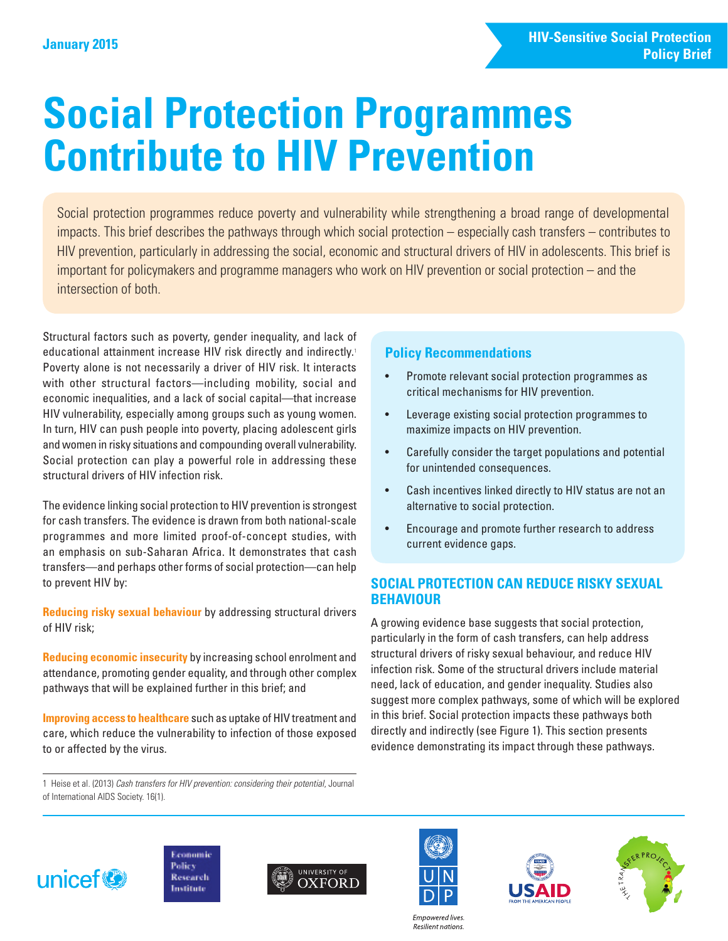# **Social Protection Programmes Contribute to HIV Prevention**

Social protection programmes reduce poverty and vulnerability while strengthening a broad range of developmental impacts. This brief describes the pathways through which social protection – especially cash transfers – contributes to HIV prevention, particularly in addressing the social, economic and structural drivers of HIV in adolescents. This brief is important for policymakers and programme managers who work on HIV prevention or social protection – and the intersection of both.

Structural factors such as poverty, gender inequality, and lack of educational attainment increase HIV risk directly and indirectly.<sup>1</sup> Poverty alone is not necessarily a driver of HIV risk. It interacts with other structural factors—including mobility, social and economic inequalities, and a lack of social capital—that increase HIV vulnerability, especially among groups such as young women. In turn, HIV can push people into poverty, placing adolescent girls and women in risky situations and compounding overall vulnerability. Social protection can play a powerful role in addressing these structural drivers of HIV infection risk.

The evidence linking social protection to HIV prevention is strongest for cash transfers. The evidence is drawn from both national-scale programmes and more limited proof-of-concept studies, with an emphasis on sub-Saharan Africa. It demonstrates that cash transfers—and perhaps other forms of social protection—can help to prevent HIV by:

**Reducing risky sexual behaviour** by addressing structural drivers of HIV risk;

**Reducing economic insecurity** by increasing school enrolment and attendance, promoting gender equality, and through other complex pathways that will be explained further in this brief; and

**Improving access to healthcare** such as uptake of HIV treatment and care, which reduce the vulnerability to infection of those exposed to or affected by the virus.

# **Policy Recommendations**

- Promote relevant social protection programmes as critical mechanisms for HIV prevention.
- Leverage existing social protection programmes to maximize impacts on HIV prevention.
- Carefully consider the target populations and potential for unintended consequences.
- Cash incentives linked directly to HIV status are not an alternative to social protection.
- Encourage and promote further research to address current evidence gaps.

# **SOCIAL PROTECTION CAN REDUCE RISKY SEXUAL BEHAVIOUR**

A growing evidence base suggests that social protection, particularly in the form of cash transfers, can help address structural drivers of risky sexual behaviour, and reduce HIV infection risk. Some of the structural drivers include material need, lack of education, and gender inequality. Studies also suggest more complex pathways, some of which will be explored in this brief. Social protection impacts these pathways both directly and indirectly (see Figure 1). This section presents evidence demonstrating its impact through these pathways.

1 Heise et al. (2013) *Cash transfers for HIV prevention: considering their potential*, Journal of International AIDS Society. 16(1).













**Empowered lives** Resilient nations.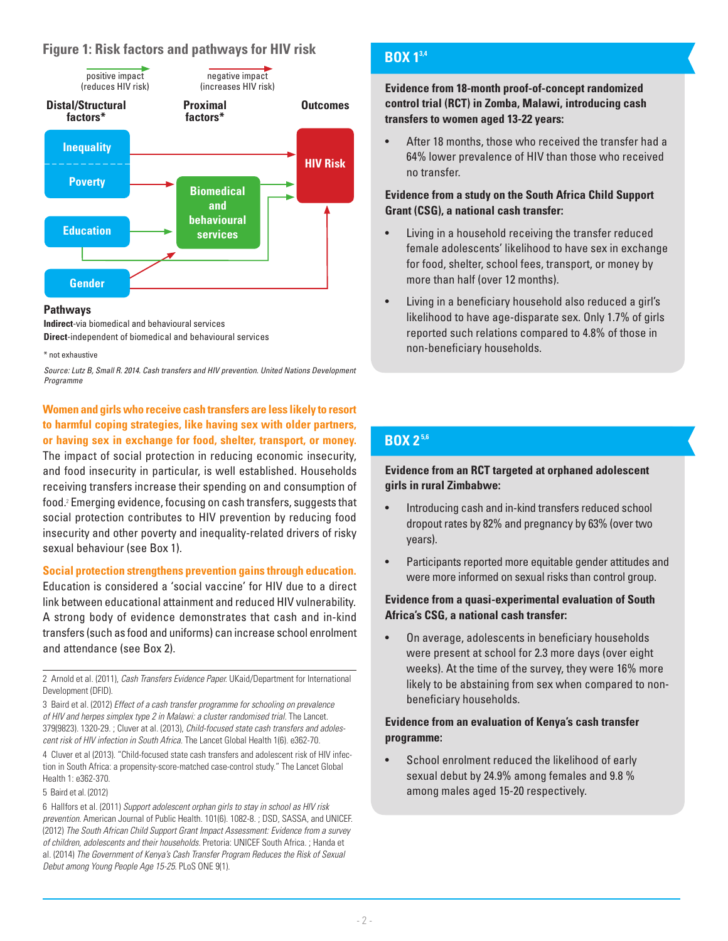# **Figure 1: Risk factors and pathways for HIV risk**



#### **Pathways**

**Indirect**-via biomedical and behavioural services **Direct**-independent of biomedical and behavioural services

\* not exhaustive

*Source: Lutz B, Small R. 2014. Cash transfers and HIV prevention. United Nations Development Programme*

**Women and girls who receive cash transfers are less likely to resort to harmful coping strategies, like having sex with older partners, or having sex in exchange for food, shelter, transport, or money.**  The impact of social protection in reducing economic insecurity, and food insecurity in particular, is well established. Households

receiving transfers increase their spending on and consumption of food.<sup>2</sup> Emerging evidence, focusing on cash transfers, suggests that social protection contributes to HIV prevention by reducing food insecurity and other poverty and inequality-related drivers of risky sexual behaviour (see Box 1).

#### **Social protection strengthens prevention gains through education.**

Education is considered a 'social vaccine' for HIV due to a direct link between educational attainment and reduced HIV vulnerability. A strong body of evidence demonstrates that cash and in-kind transfers (such as food and uniforms) can increase school enrolment and attendance (see Box 2).

2 Arnold et al. (2011), *Cash Transfers Evidence Paper.* UKaid/Department for International Development (DFID).

3 Baird et al. (2012) *Effect of a cash transfer programme for schooling on prevalence of HIV and herpes simplex type 2 in Malawi: a cluster randomised trial.* The Lancet. 379(9823). 1320-29. ; Cluver at al. (2013), *Child-focused state cash transfers and adolescent risk of HIV infection in South Africa.* The Lancet Global Health 1(6). e362-70.

4 Cluver et al (2013). "Child-focused state cash transfers and adolescent risk of HIV infection in South Africa: a propensity-score-matched case-control study." The Lancet Global Health 1: e362-370.

5 Baird et al. (2012)

6 Hallfors et al. (2011) *Support adolescent orphan girls to stay in school as HIV risk prevention.* American Journal of Public Health. 101(6). 1082-8. ; DSD, SASSA, and UNICEF. (2012) *The South African Child Support Grant Impact Assessment: Evidence from a survey of children, adolescents and their households.* Pretoria: UNICEF South Africa. ; Handa et al. (2014) *The Government of Kenya's Cash Transfer Program Reduces the Risk of Sexual Debut among Young People Age 15-25.* PLoS ONE 9(1).

# **BOX 1 BOX 13,4**

**Evidence from 18-month proof-of-concept randomized control trial (RCT) in Zomba, Malawi, introducing cash transfers to women aged 13-22 years:**

• After 18 months, those who received the transfer had a 64% lower prevalence of HIV than those who received no transfer.

#### **Evidence from a study on the South Africa Child Support Grant (CSG), a national cash transfer:**

- Living in a household receiving the transfer reduced female adolescents' likelihood to have sex in exchange for food, shelter, school fees, transport, or money by more than half (over 12 months).
- Living in a beneficiary household also reduced a girl's likelihood to have age-disparate sex. Only 1.7% of girls reported such relations compared to 4.8% of those in non-beneficiary households.

# **BOX 2 BOX 2 5,6**

#### **Evidence from an RCT targeted at orphaned adolescent girls in rural Zimbabwe:**

- Introducing cash and in-kind transfers reduced school dropout rates by 82% and pregnancy by 63% (over two years).
- Participants reported more equitable gender attitudes and were more informed on sexual risks than control group.

#### **Evidence from a quasi-experimental evaluation of South Africa's CSG, a national cash transfer:**

• On average, adolescents in beneficiary households were present at school for 2.3 more days (over eight weeks). At the time of the survey, they were 16% more likely to be abstaining from sex when compared to nonbeneficiary households.

#### **Evidence from an evaluation of Kenya's cash transfer programme:**

School enrolment reduced the likelihood of early sexual debut by 24.9% among females and 9.8 % among males aged 15-20 respectively.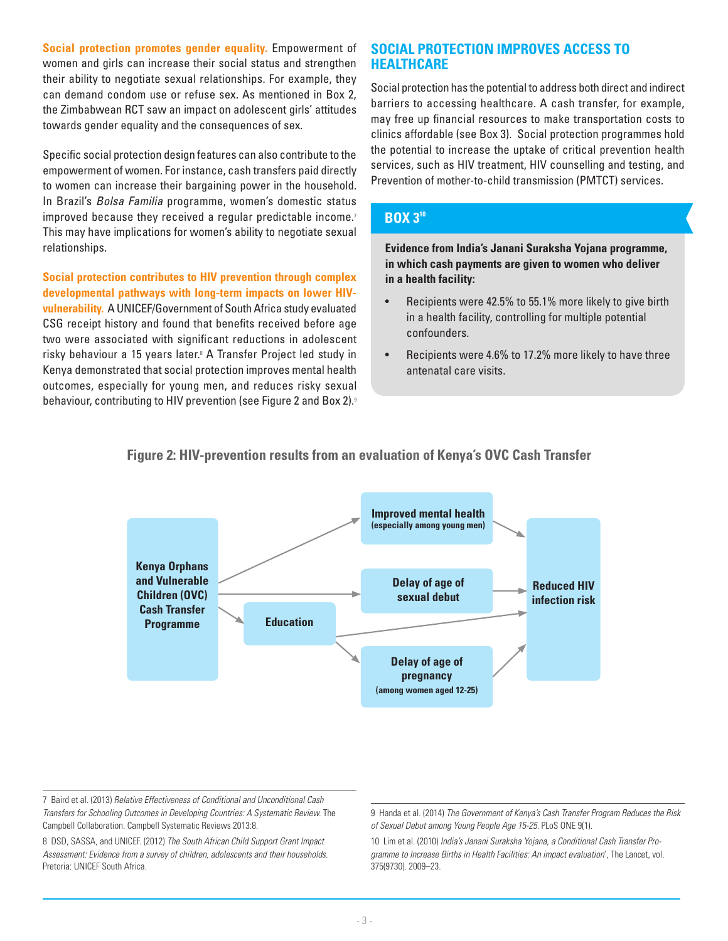**Social protection promotes gender equality.** Empowerment of women and girls can increase their social status and strengthen their ability to negotiate sexual relationships. For example, they can demand condom use or refuse sex. As mentioned in Box 2, the Zimbabwean RCT saw an impact on adolescent girls' attitudes towards gender equality and the consequences of sex.

Specific social protection design features can also contribute to the empowerment of women. For instance, cash transfers paid directly to women can increase their bargaining power in the household. In Brazil's *Bolsa Familia* programme, women's domestic status improved because they received a regular predictable income.<sup>7</sup> This may have implications for women's ability to negotiate sexual relationships.

**Social protection contributes to HIV prevention through complex developmental pathways with long-term impacts on lower HIVvulnerability.** A UNICEF/Government of South Africa study evaluated CSG receipt history and found that benefits received before age two were associated with significant reductions in adolescent risky behaviour a 15 years later.<sup>8</sup> A Transfer Project led study in Kenya demonstrated that social protection improves mental health outcomes, especially for young men, and reduces risky sexual behaviour, contributing to HIV prevention (see Figure 2 and Box 2).<sup>9</sup>

## **SOCIAL PROTECTION IMPROVES ACCESS TO HEALTHCARE**<sup>9</sup>

Social protection has the potential to address both direct and indirect barriers to accessing healthcare. A cash transfer, for example, may free up financial resources to make transportation costs to clinics affordable (see Box 3). Social protection programmes hold the potential to increase the uptake of critical prevention health services, such as HIV treatment, HIV counselling and testing, and Prevention of mother-to-child transmission (PMTCT) services.

# **BOX 3 BOX 310**

**Evidence from India's Janani Suraksha Yojana programme, in which cash payments are given to women who deliver in a health facility:**

- Recipients were 42.5% to 55.1% more likely to give birth in a health facility, controlling for multiple potential confounders.
- Recipients were 4.6% to 17.2% more likely to have three antenatal care visits.



# **Figure 2: HIV-prevention results from an evaluation of Kenya's OVC Cash Transfer**

7 Baird et al. (2013) *Relative Effectiveness of Conditional and Unconditional Cash Transfers for Schooling Outcomes in Developing Countries: A Systematic Review.* The Campbell Collaboration. Campbell Systematic Reviews 2013:8.

8 DSD, SASSA, and UNICEF. (2012) *The South African Child Support Grant Impact Assessment: Evidence from a survey of children, adolescents and their households.* Pretoria: UNICEF South Africa.

9 Handa et al. (2014) *The Government of Kenya's Cash Transfer Program Reduces the Risk of Sexual Debut among Young People Age 15-25.* PLoS ONE 9(1).

10 Lim et al. (2010) *India's Janani Suraksha Yojana, a Conditional Cash Transfer Programme to Increase Births in Health Facilities: An impact evaluation*', The Lancet, vol. 375(9730). 2009–23.